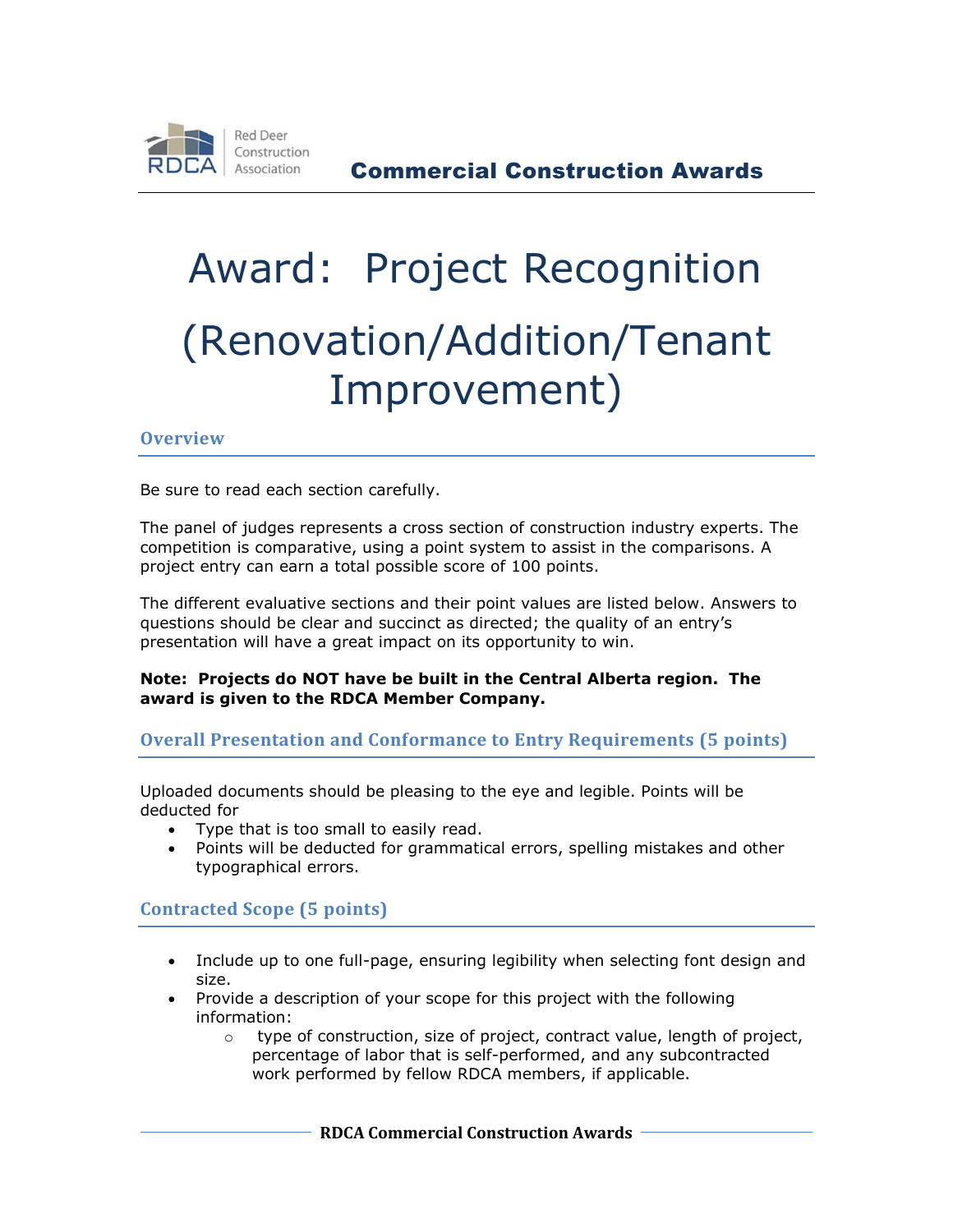

# Award: Project Recognition (Renovation/Addition/Tenant Improvement)

### **Overview**

Be sure to read each section carefully.

The panel of judges represents a cross section of construction industry experts. The competition is comparative, using a point system to assist in the comparisons. A project entry can earn a total possible score of 100 points.

The different evaluative sections and their point values are listed below. Answers to questions should be clear and succinct as directed; the quality of an entry's presentation will have a great impact on its opportunity to win.

#### **Note: Projects do NOT have be built in the Central Alberta region. The award is given to the RDCA Member Company.**

#### **Overall Presentation and Conformance to Entry Requirements (5 points)**

Uploaded documents should be pleasing to the eye and legible. Points will be deducted for

- Type that is too small to easily read.
- Points will be deducted for grammatical errors, spelling mistakes and other typographical errors.

# **Contracted Scope (5 points)**

- Include up to one full-page, ensuring legibility when selecting font design and size.
- Provide a description of your scope for this project with the following information:
	- o type of construction, size of project, contract value, length of project, percentage of labor that is self-performed, and any subcontracted work performed by fellow RDCA members, if applicable.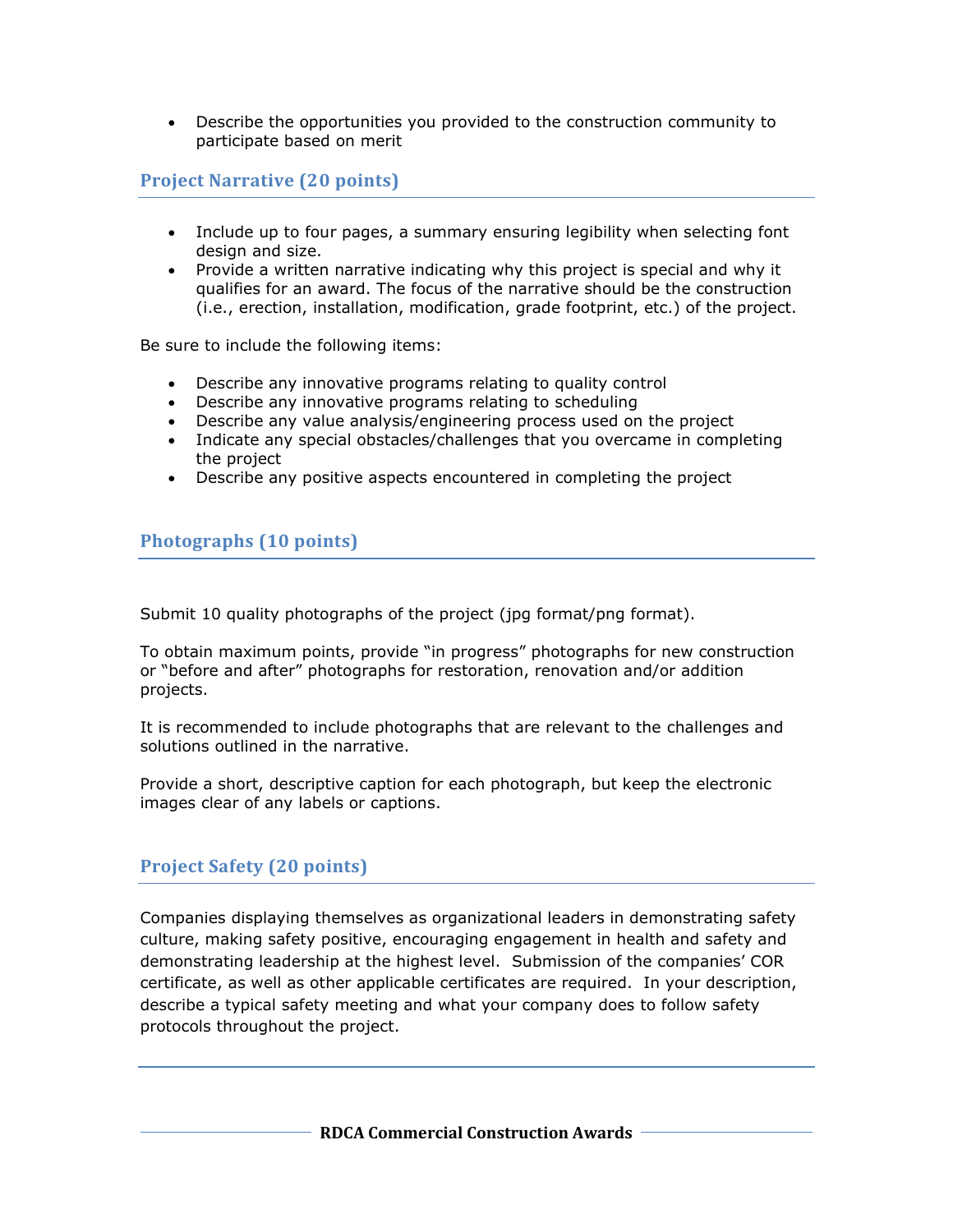• Describe the opportunities you provided to the construction community to participate based on merit

# **Project Narrative (20 points)**

- Include up to four pages, a summary ensuring legibility when selecting font design and size.
- Provide a written narrative indicating why this project is special and why it qualifies for an award. The focus of the narrative should be the construction (i.e., erection, installation, modification, grade footprint, etc.) of the project.

Be sure to include the following items:

- Describe any innovative programs relating to quality control
- Describe any innovative programs relating to scheduling
- Describe any value analysis/engineering process used on the project
- Indicate any special obstacles/challenges that you overcame in completing the project
- Describe any positive aspects encountered in completing the project

# **Photographs (10 points)**

Submit 10 quality photographs of the project (jpg format/png format).

To obtain maximum points, provide "in progress" photographs for new construction or "before and after" photographs for restoration, renovation and/or addition projects.

It is recommended to include photographs that are relevant to the challenges and solutions outlined in the narrative.

Provide a short, descriptive caption for each photograph, but keep the electronic images clear of any labels or captions.

#### **Project Safety (20 points)**

Companies displaying themselves as organizational leaders in demonstrating safety culture, making safety positive, encouraging engagement in health and safety and demonstrating leadership at the highest level. Submission of the companies' COR certificate, as well as other applicable certificates are required. In your description, describe a typical safety meeting and what your company does to follow safety protocols throughout the project.